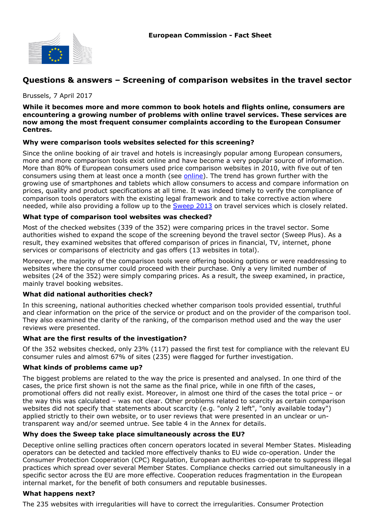

# **Questions & answers – Screening of comparison websites in the travel sector**

#### Brussels, 7 April 2017

**While it becomes more and more common to book hotels and flights online, consumers are encountering a growing number of problems with online travel services. These services are now among the most frequent consumer complaints according to the European Consumer Centres.**

### **Why were comparison tools websites selected for this screening?**

Since the online booking of air travel and hotels is increasingly popular among European consumers, more and more comparison tools exist online and have become a very popular source of information. More than 80% of European consumers used price comparison websites in 2010, with five out of ten consumers using them at least once a month (see [online\)](http://ec.europa.eu/consumers/eu_consumer_policy/our-strategy/documents/consumer_agenda_2012_en.pdf). The trend has grown further with the growing use of smartphones and tablets which allow consumers to access and compare information on prices, quality and product specifications at all time. It was indeed timely to verify the compliance of comparison tools operators with the existing legal framework and to take corrective action where needed, while also providing a follow up to the [Sweep 2013](http://ec.europa.eu/consumers/enforcement/sweeps/travel_services/index_en.htm) on travel services which is closely related.

### **What type of comparison tool websites was checked?**

Most of the checked websites (339 of the 352) were comparing prices in the travel sector. Some authorities wished to expand the scope of the screening beyond the travel sector (Sweep Plus). As a result, they examined websites that offered comparison of prices in financial, TV, internet, phone services or comparisons of electricity and gas offers (13 websites in total).

Moreover, the majority of the comparison tools were offering booking options or were readdressing to websites where the consumer could proceed with their purchase. Only a very limited number of websites (24 of the 352) were simply comparing prices. As a result, the sweep examined, in practice, mainly travel booking websites.

### **What did national authorities check?**

In this screening, national authorities checked whether comparison tools provided essential, truthful and clear information on the price of the service or product and on the provider of the comparison tool. They also examined the clarity of the ranking, of the comparison method used and the way the user reviews were presented.

### **What are the first results of the investigation?**

Of the 352 websites checked, only 23% (117) passed the first test for compliance with the relevant EU consumer rules and almost 67% of sites (235) were flagged for further investigation.

### **What kinds of problems came up?**

The biggest problems are related to the way the price is presented and analysed. In one third of the cases, the price first shown is not the same as the final price, while in one fifth of the cases, promotional offers did not really exist. Moreover, in almost one third of the cases the total price – or the way this was calculated – was not clear. Other problems related to scarcity as certain comparison websites did not specify that statements about scarcity (e.g. "only 2 left", "only available today") applied strictly to their own website, or to user reviews that were presented in an unclear or untransparent way and/or seemed untrue. See table 4 in the Annex for details.

## **Why does the Sweep take place simultaneously across the EU?**

Deceptive online selling practices often concern operators located in several Member States. Misleading operators can be detected and tackled more effectively thanks to EU wide co-operation. Under the Consumer Protection Cooperation (CPC) Regulation, European authorities co-operate to suppress illegal practices which spread over several Member States. Compliance checks carried out simultaneously in a specific sector across the EU are more effective. Cooperation reduces fragmentation in the European internal market, for the benefit of both consumers and reputable businesses.

### **What happens next?**

The 235 websites with irregularities will have to correct the irregularities. Consumer Protection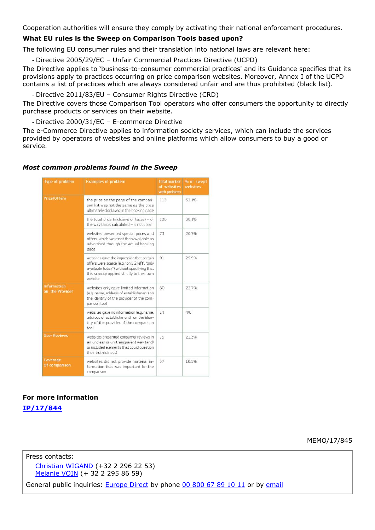Cooperation authorities will ensure they comply by activating their national enforcement procedures.

#### **What EU rules is the Sweep on Comparison Tools based upon?**

The following EU consumer rules and their translation into national laws are relevant here:

- Directive 2005/29/EC – Unfair Commercial Practices Directive (UCPD)

The Directive applies to 'business-to-consumer commercial practices' and its Guidance specifies that its provisions apply to practices occurring on price comparison websites. Moreover, Annex I of the UCPD contains a list of practices which are always considered unfair and are thus prohibited (black list).

- Directive 2011/83/EU – Consumer Rights Directive (CRD)

The Directive covers those Comparison Tool operators who offer consumers the opportunity to directly purchase products or services on their website.

- Directive 2000/31/EC – E-commerce Directive

The e-Commerce Directive applies to information society services, which can include the services provided by operators of websites and online platforms which allow consumers to buy a good or service.

#### *Most common problems found in the Sweep*

| <b>Type of problem</b>                | <b>Examples of problem</b>                                                                                                                                                                        | <b>Total number</b><br>of websites<br>with problem | % of swept<br>websites |
|---------------------------------------|---------------------------------------------------------------------------------------------------------------------------------------------------------------------------------------------------|----------------------------------------------------|------------------------|
| <b>Price/Offers</b>                   | the price on the page of the compari-<br>son list was not the same as the price<br>ultimately displayed in the booking page                                                                       | 113                                                | 32.1%                  |
|                                       | the total price (inclusive of taxes) - or<br>the way this is calculated - is not clear                                                                                                            | 106                                                | 30.1%                  |
|                                       | websites presented special prices and<br>offers, which were not then available as<br>advertised through the actual booking<br>page                                                                | 73                                                 | 20.7%                  |
|                                       | websites gave the impression that certain<br>offers were scarce (e.g. "only 2 left", "only<br>available today") without specifying that<br>this scarcity applied strictly to their own<br>website | 91                                                 | 25.9%                  |
| <b>Information</b><br>on the Provider | websites only gave limited information<br>(e.g. name, address of establishment) on<br>the identity of the provider of the com-<br>parison tool                                                    | 80                                                 | 22.7%                  |
|                                       | websites gave no information (e.g. name,<br>address of establishment) on the iden-<br>tity of the provider of the comparison<br>tool                                                              | 14                                                 | 4%                     |
| <b>User Reviews</b>                   | websites presented consumer reviews in<br>an unclear or un-transparent way (and/<br>or included elements that could question<br>their truthfulness)                                               | 75                                                 | 21.3%                  |
| Coverage<br>Of comparison             | websites did not provide material in-<br>formation that was important for the<br>comparison                                                                                                       | 37                                                 | 10.5%                  |

## **For more information**

**[IP/17/844](http://europa.eu/rapid/press-release_IP-17-844_en.htm)**

MEMO/17/845

Press contacts: [Christian WIGAND](mailto:Christian.WIGAND@ec.europa.eu) (+32 2 296 22 53) [Melanie VOIN](mailto:melanie.voin@ec.europa.eu) (+ 32 2 295 86 59)

General public inquiries: [Europe Direct](http://europa.eu/contact/) by phone [00 800 67 89 10 11](http://europa.eu/contact/call-us/index_en.htm) or by [email](http://europa.eu/contact/write-to-us/index_en.htm)